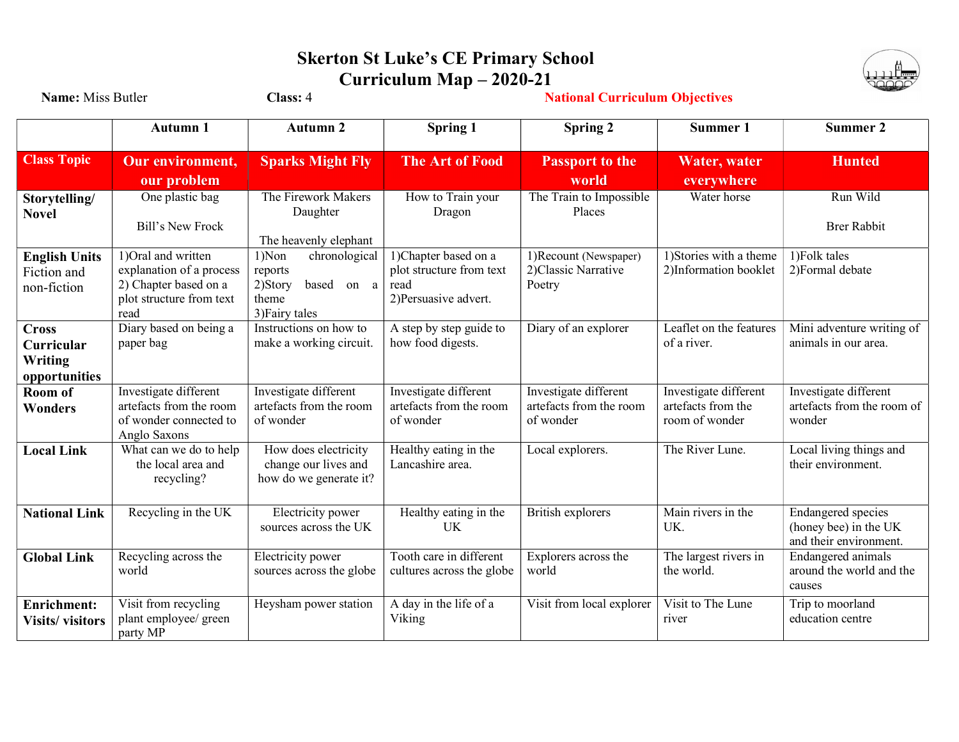## Skerton St Luke's CE Primary School Curriculum Map – 2020-21



| Name: Miss Butler                                      |                                                                                                              | Class: 4                                                                              |                                                                                   |                                                               |                                                               |                                                                              |
|--------------------------------------------------------|--------------------------------------------------------------------------------------------------------------|---------------------------------------------------------------------------------------|-----------------------------------------------------------------------------------|---------------------------------------------------------------|---------------------------------------------------------------|------------------------------------------------------------------------------|
|                                                        | <b>Autumn 1</b>                                                                                              | <b>Autumn 2</b>                                                                       | <b>Spring 1</b>                                                                   | Spring 2                                                      | Summer 1                                                      | Summer 2                                                                     |
| <b>Class Topic</b>                                     | <b>Our environment,</b><br>our problem                                                                       | <b>Sparks Might Fly</b>                                                               | <b>The Art of Food</b>                                                            | <b>Passport to the</b><br>world                               | Water, water<br>everywhere                                    | <b>Hunted</b>                                                                |
| Storytelling/<br><b>Novel</b>                          | One plastic bag<br>Bill's New Frock                                                                          | The Firework Makers<br>Daughter<br>The heavenly elephant                              | How to Train your<br>Dragon                                                       | The Train to Impossible<br>Places                             | Water horse                                                   | Run Wild<br><b>Brer Rabbit</b>                                               |
| <b>English Units</b><br>Fiction and<br>non-fiction     | 1) Oral and written<br>explanation of a process<br>2) Chapter based on a<br>plot structure from text<br>read | 1)Non<br>chronological<br>reports<br>2)Story<br>based on a<br>theme<br>3) Fairy tales | 1)Chapter based on a<br>plot structure from text<br>read<br>2) Persuasive advert. | 1) Recount (Newspaper)<br>2) Classic Narrative<br>Poetry      | 1) Stories with a theme<br>2)Information booklet              | 1) Folk tales<br>2) Formal debate                                            |
| <b>Cross</b><br>Curricular<br>Writing<br>opportunities | Diary based on being a<br>paper bag                                                                          | Instructions on how to<br>make a working circuit.                                     | A step by step guide to<br>how food digests.                                      | Diary of an explorer                                          | Leaflet on the features<br>of a river.                        | Mini adventure writing of<br>animals in our area.                            |
| Room of<br>Wonders                                     | Investigate different<br>artefacts from the room<br>of wonder connected to<br>Anglo Saxons                   | Investigate different<br>artefacts from the room<br>of wonder                         | Investigate different<br>artefacts from the room<br>of wonder                     | Investigate different<br>artefacts from the room<br>of wonder | Investigate different<br>artefacts from the<br>room of wonder | Investigate different<br>artefacts from the room of<br>wonder                |
| <b>Local Link</b>                                      | What can we do to help<br>the local area and<br>recycling?                                                   | How does electricity<br>change our lives and<br>how do we generate it?                | Healthy eating in the<br>Lancashire area.                                         | Local explorers.                                              | The River Lune.                                               | Local living things and<br>their environment.                                |
| <b>National Link</b>                                   | Recycling in the UK                                                                                          | Electricity power<br>sources across the UK                                            | Healthy eating in the<br>UK                                                       | British explorers                                             | Main rivers in the<br>UK.                                     | <b>Endangered species</b><br>(honey bee) in the UK<br>and their environment. |
| <b>Global Link</b>                                     | Recycling across the<br>world                                                                                | Electricity power<br>sources across the globe                                         | Tooth care in different<br>cultures across the globe                              | Explorers across the<br>world                                 | The largest rivers in<br>the world.                           | Endangered animals<br>around the world and the<br>causes                     |
| <b>Enrichment:</b><br><b>Visits/visitors</b>           | Visit from recycling<br>plant employee/ green<br>party MP                                                    | Heysham power station                                                                 | A day in the life of a<br>Viking                                                  | Visit from local explorer                                     | Visit to The Lune<br>river                                    | Trip to moorland<br>education centre                                         |